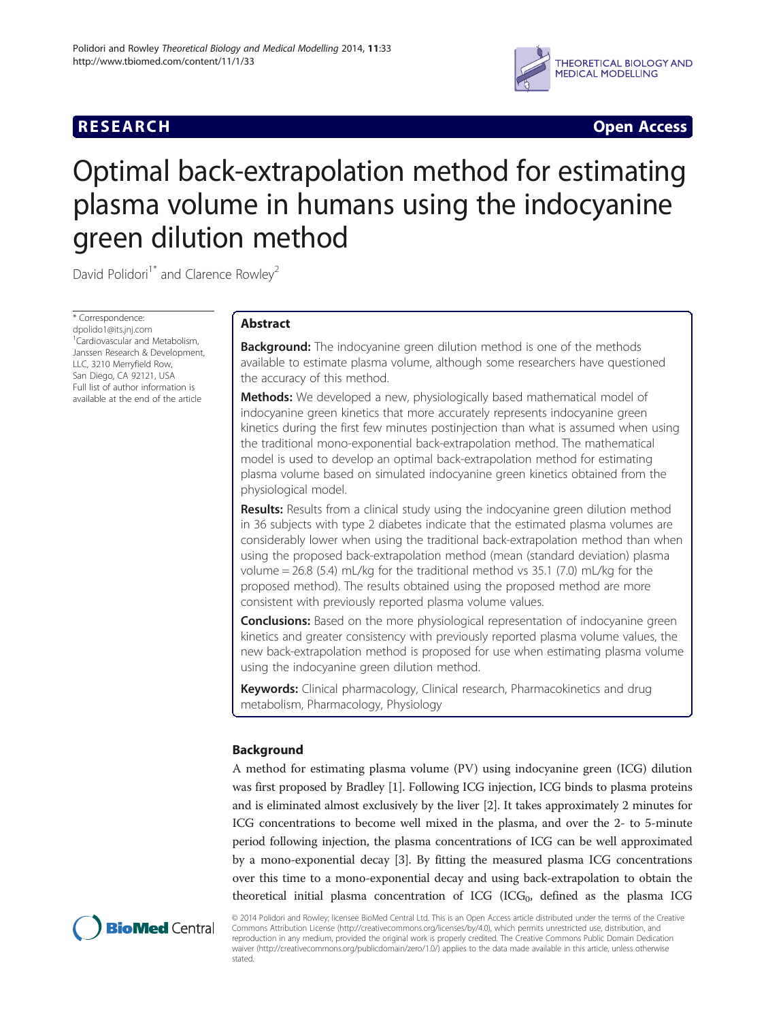## **RESEARCH CHINESE ARCH CHINESE ARCH CHINESE ARCH <b>CHINESE ARCH**



# Optimal back-extrapolation method for estimating plasma volume in humans using the indocyanine green dilution method

David Polidori<sup>1\*</sup> and Clarence Rowley<sup>2</sup>

\* Correspondence: [dpolido1@its.jnj.com](mailto:dpolido1@its.jnj.com) <sup>1</sup> Cardiovascular and Metabolism, Janssen Research & Development, LLC, 3210 Merryfield Row, San Diego, CA 92121, USA Full list of author information is available at the end of the article

## Abstract

**Background:** The indocyanine green dilution method is one of the methods available to estimate plasma volume, although some researchers have questioned the accuracy of this method.

Methods: We developed a new, physiologically based mathematical model of indocyanine green kinetics that more accurately represents indocyanine green kinetics during the first few minutes postinjection than what is assumed when using the traditional mono-exponential back-extrapolation method. The mathematical model is used to develop an optimal back-extrapolation method for estimating plasma volume based on simulated indocyanine green kinetics obtained from the physiological model.

**Results:** Results from a clinical study using the indocyanine green dilution method in 36 subjects with type 2 diabetes indicate that the estimated plasma volumes are considerably lower when using the traditional back-extrapolation method than when using the proposed back-extrapolation method (mean (standard deviation) plasma volume =  $26.8$  (5.4) mL/kg for the traditional method vs 35.1 (7.0) mL/kg for the proposed method). The results obtained using the proposed method are more consistent with previously reported plasma volume values.

**Conclusions:** Based on the more physiological representation of indocyanine green kinetics and greater consistency with previously reported plasma volume values, the new back-extrapolation method is proposed for use when estimating plasma volume using the indocyanine green dilution method.

Keywords: Clinical pharmacology, Clinical research, Pharmacokinetics and drug metabolism, Pharmacology, Physiology

## Background

A method for estimating plasma volume (PV) using indocyanine green (ICG) dilution was first proposed by Bradley [\[1\]](#page-13-0). Following ICG injection, ICG binds to plasma proteins and is eliminated almost exclusively by the liver [[2\]](#page-13-0). It takes approximately 2 minutes for ICG concentrations to become well mixed in the plasma, and over the 2- to 5-minute period following injection, the plasma concentrations of ICG can be well approximated by a mono-exponential decay [[3\]](#page-13-0). By fitting the measured plasma ICG concentrations over this time to a mono-exponential decay and using back-extrapolation to obtain the theoretical initial plasma concentration of ICG (ICG<sub>0</sub>, defined as the plasma ICG



© 2014 Polidori and Rowley; licensee BioMed Central Ltd. This is an Open Access article distributed under the terms of the Creative Commons Attribution License [\(http://creativecommons.org/licenses/by/4.0\)](http://creativecommons.org/licenses/by/4.0), which permits unrestricted use, distribution, and reproduction in any medium, provided the original work is properly credited. The Creative Commons Public Domain Dedication waiver [\(http://creativecommons.org/publicdomain/zero/1.0/\)](http://creativecommons.org/publicdomain/zero/1.0/) applies to the data made available in this article, unless otherwise stated.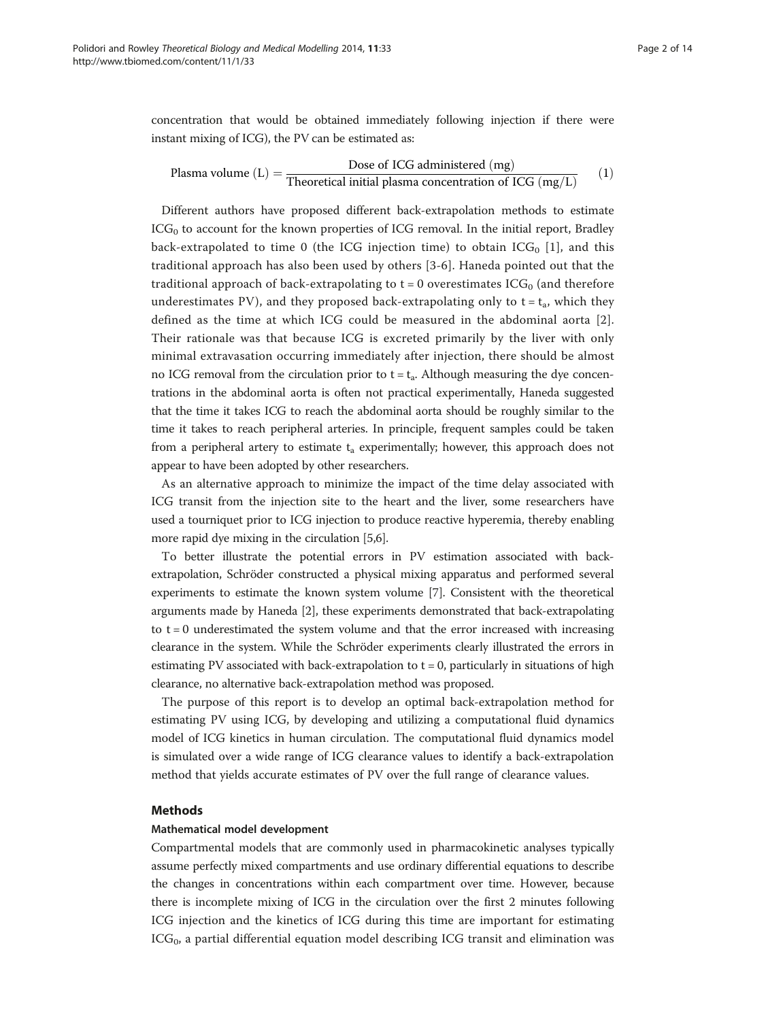concentration that would be obtained immediately following injection if there were instant mixing of ICG), the PV can be estimated as:

$$
\text{Plasma volume (L)} = \frac{\text{Dose of ICG administered (mg)}}{\text{Theoretical initial plasma concentration of ICG (mg/L)}} \qquad (1)
$$

Different authors have proposed different back-extrapolation methods to estimate  $ICG<sub>0</sub>$  to account for the known properties of ICG removal. In the initial report, Bradley back-extrapolated to time 0 (the ICG injection time) to obtain  $ICG_0$  [\[1\]](#page-13-0), and this traditional approach has also been used by others [\[3-6](#page-13-0)]. Haneda pointed out that the traditional approach of back-extrapolating to  $t = 0$  overestimates  $ICG_0$  (and therefore underestimates PV), and they proposed back-extrapolating only to  $t = t_a$ , which they defined as the time at which ICG could be measured in the abdominal aorta [[2](#page-13-0)]. Their rationale was that because ICG is excreted primarily by the liver with only minimal extravasation occurring immediately after injection, there should be almost no ICG removal from the circulation prior to  $t = t_a$ . Although measuring the dye concentrations in the abdominal aorta is often not practical experimentally, Haneda suggested that the time it takes ICG to reach the abdominal aorta should be roughly similar to the time it takes to reach peripheral arteries. In principle, frequent samples could be taken from a peripheral artery to estimate  $t_a$  experimentally; however, this approach does not appear to have been adopted by other researchers.

As an alternative approach to minimize the impact of the time delay associated with ICG transit from the injection site to the heart and the liver, some researchers have used a tourniquet prior to ICG injection to produce reactive hyperemia, thereby enabling more rapid dye mixing in the circulation [\[5,6](#page-13-0)].

To better illustrate the potential errors in PV estimation associated with backextrapolation, Schröder constructed a physical mixing apparatus and performed several experiments to estimate the known system volume [\[7](#page-13-0)]. Consistent with the theoretical arguments made by Haneda [\[2](#page-13-0)], these experiments demonstrated that back-extrapolating to  $t = 0$  underestimated the system volume and that the error increased with increasing clearance in the system. While the Schröder experiments clearly illustrated the errors in estimating PV associated with back-extrapolation to  $t = 0$ , particularly in situations of high clearance, no alternative back-extrapolation method was proposed.

The purpose of this report is to develop an optimal back-extrapolation method for estimating PV using ICG, by developing and utilizing a computational fluid dynamics model of ICG kinetics in human circulation. The computational fluid dynamics model is simulated over a wide range of ICG clearance values to identify a back-extrapolation method that yields accurate estimates of PV over the full range of clearance values.

#### **Mathods**

#### Mathematical model development

Compartmental models that are commonly used in pharmacokinetic analyses typically assume perfectly mixed compartments and use ordinary differential equations to describe the changes in concentrations within each compartment over time. However, because there is incomplete mixing of ICG in the circulation over the first 2 minutes following ICG injection and the kinetics of ICG during this time are important for estimating  $ICG<sub>0</sub>$ , a partial differential equation model describing ICG transit and elimination was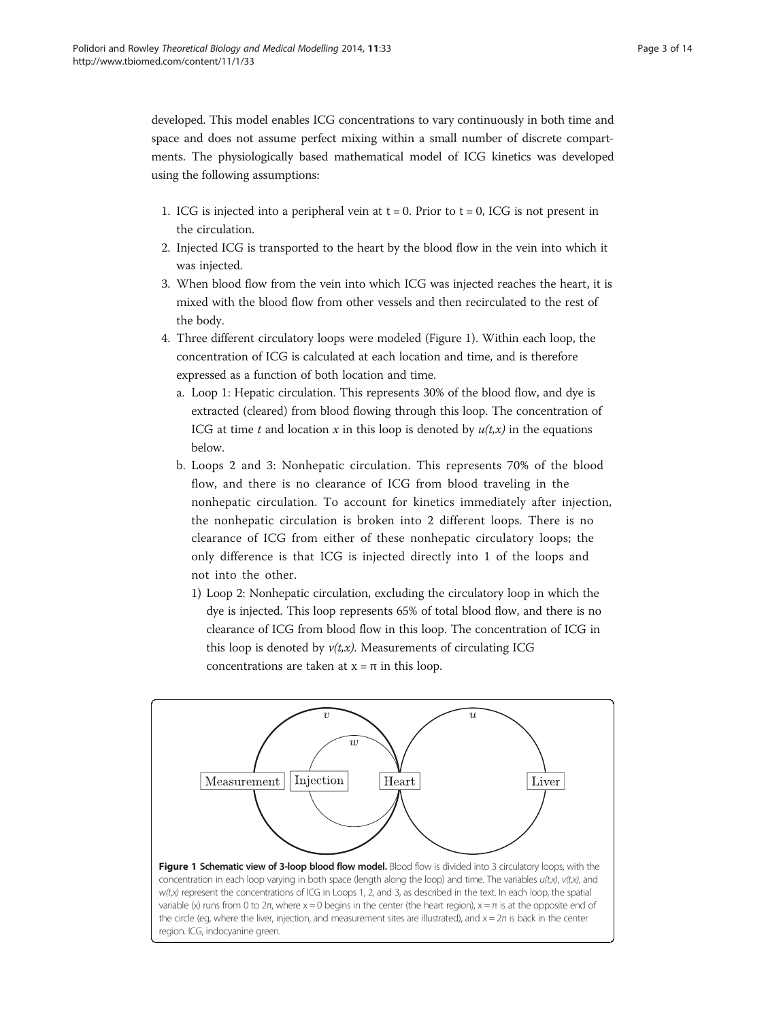region. ICG, indocyanine green.

<span id="page-2-0"></span>developed. This model enables ICG concentrations to vary continuously in both time and space and does not assume perfect mixing within a small number of discrete compartments. The physiologically based mathematical model of ICG kinetics was developed using the following assumptions:

- 1. ICG is injected into a peripheral vein at  $t = 0$ . Prior to  $t = 0$ , ICG is not present in the circulation.
- 2. Injected ICG is transported to the heart by the blood flow in the vein into which it was injected.
- 3. When blood flow from the vein into which ICG was injected reaches the heart, it is mixed with the blood flow from other vessels and then recirculated to the rest of the body.
- 4. Three different circulatory loops were modeled (Figure 1). Within each loop, the concentration of ICG is calculated at each location and time, and is therefore expressed as a function of both location and time.
	- a. Loop 1: Hepatic circulation. This represents 30% of the blood flow, and dye is extracted (cleared) from blood flowing through this loop. The concentration of ICG at time t and location x in this loop is denoted by  $u(t,x)$  in the equations below.
	- b. Loops 2 and 3: Nonhepatic circulation. This represents 70% of the blood flow, and there is no clearance of ICG from blood traveling in the nonhepatic circulation. To account for kinetics immediately after injection, the nonhepatic circulation is broken into 2 different loops. There is no clearance of ICG from either of these nonhepatic circulatory loops; the only difference is that ICG is injected directly into 1 of the loops and not into the other.
		- 1) Loop 2: Nonhepatic circulation, excluding the circulatory loop in which the dye is injected. This loop represents 65% of total blood flow, and there is no clearance of ICG from blood flow in this loop. The concentration of ICG in this loop is denoted by  $v(t,x)$ . Measurements of circulating ICG concentrations are taken at x = π in this loop.

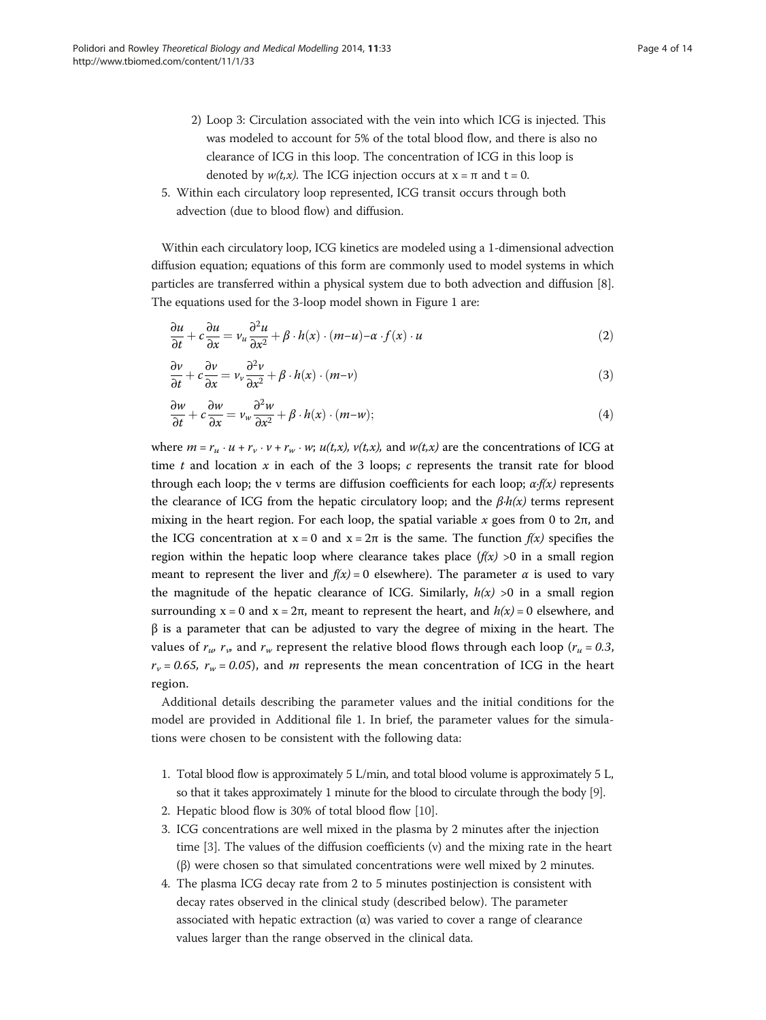- <span id="page-3-0"></span>2) Loop 3: Circulation associated with the vein into which ICG is injected. This was modeled to account for 5% of the total blood flow, and there is also no clearance of ICG in this loop. The concentration of ICG in this loop is denoted by  $w(t,x)$ . The ICG injection occurs at  $x = \pi$  and  $t = 0$ .
- 5. Within each circulatory loop represented, ICG transit occurs through both advection (due to blood flow) and diffusion.

Within each circulatory loop, ICG kinetics are modeled using a 1-dimensional advection diffusion equation; equations of this form are commonly used to model systems in which particles are transferred within a physical system due to both advection and diffusion [[8](#page-13-0)]. The equations used for the 3-loop model shown in Figure [1](#page-2-0) are:

$$
\frac{\partial u}{\partial t} + c \frac{\partial u}{\partial x} = v_u \frac{\partial^2 u}{\partial x^2} + \beta \cdot h(x) \cdot (m - u) - \alpha \cdot f(x) \cdot u \tag{2}
$$

$$
\frac{\partial v}{\partial t} + c \frac{\partial v}{\partial x} = v_v \frac{\partial^2 v}{\partial x^2} + \beta \cdot h(x) \cdot (m - v) \tag{3}
$$

$$
\frac{\partial w}{\partial t} + c \frac{\partial w}{\partial x} = v_w \frac{\partial^2 w}{\partial x^2} + \beta \cdot h(x) \cdot (m - w); \tag{4}
$$

where  $m = r_u \cdot u + r_v \cdot v + r_w \cdot w$ ;  $u(t,x)$ ,  $v(t,x)$ , and  $w(t,x)$  are the concentrations of ICG at time t and location x in each of the 3 loops; c represents the transit rate for blood through each loop; the v terms are diffusion coefficients for each loop;  $\alpha$ ⋅*f(x)* represents the clearance of ICG from the hepatic circulatory loop; and the  $\beta \cdot h(x)$  terms represent mixing in the heart region. For each loop, the spatial variable x goes from 0 to  $2\pi$ , and the ICG concentration at  $x = 0$  and  $x = 2\pi$  is the same. The function  $f(x)$  specifies the region within the hepatic loop where clearance takes place  $(f(x) > 0$  in a small region meant to represent the liver and  $f(x) = 0$  elsewhere). The parameter  $\alpha$  is used to vary the magnitude of the hepatic clearance of ICG. Similarly,  $h(x) >0$  in a small region surrounding  $x = 0$  and  $x = 2\pi$ , meant to represent the heart, and  $h(x) = 0$  elsewhere, and β is a parameter that can be adjusted to vary the degree of mixing in the heart. The values of  $r_{\mu}$ ,  $r_{\nu}$  and  $r_{\mu}$  represent the relative blood flows through each loop ( $r_{\mu} = 0.3$ ,  $r_v = 0.65$ ,  $r_w = 0.05$ ), and *m* represents the mean concentration of ICG in the heart region.

Additional details describing the parameter values and the initial conditions for the model are provided in Additional file [1.](#page-12-0) In brief, the parameter values for the simulations were chosen to be consistent with the following data:

- 1. Total blood flow is approximately 5 L/min, and total blood volume is approximately 5 L, so that it takes approximately 1 minute for the blood to circulate through the body [\[9](#page-13-0)].
- 2. Hepatic blood flow is 30% of total blood flow [[10](#page-13-0)].
- 3. ICG concentrations are well mixed in the plasma by 2 minutes after the injection time  $[3]$  $[3]$ . The values of the diffusion coefficients  $(v)$  and the mixing rate in the heart (β) were chosen so that simulated concentrations were well mixed by 2 minutes.
- 4. The plasma ICG decay rate from 2 to 5 minutes postinjection is consistent with decay rates observed in the clinical study (described below). The parameter associated with hepatic extraction  $(\alpha)$  was varied to cover a range of clearance values larger than the range observed in the clinical data.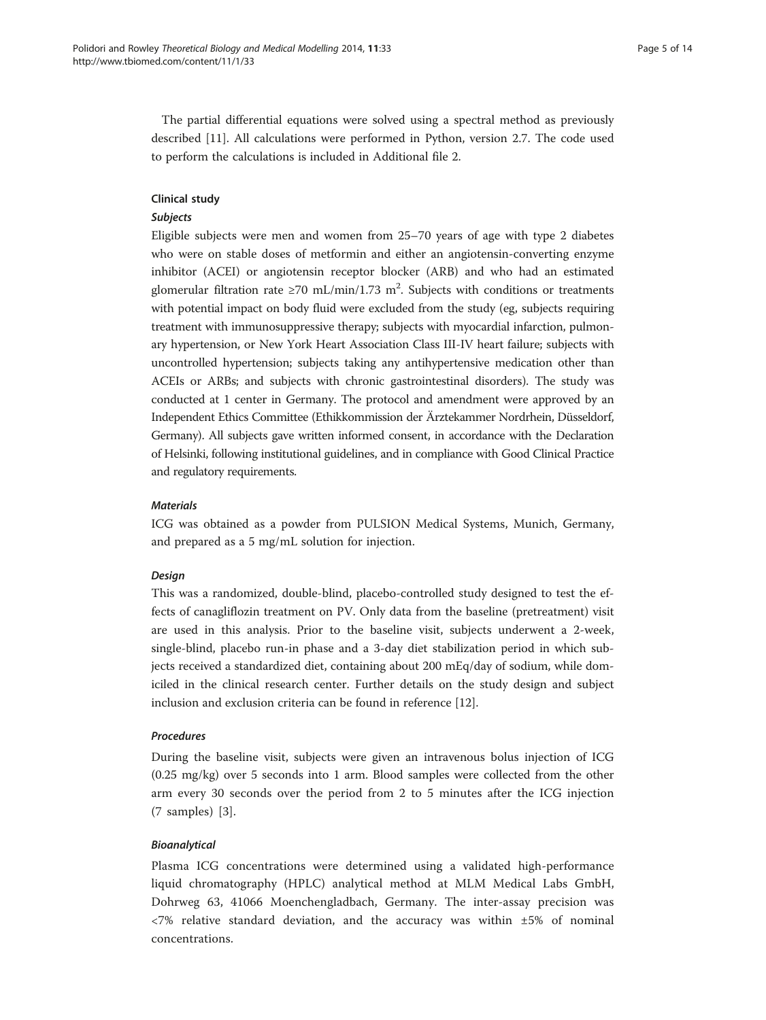The partial differential equations were solved using a spectral method as previously described [\[11](#page-13-0)]. All calculations were performed in Python, version 2.7. The code used to perform the calculations is included in Additional file [2](#page-12-0).

#### Clinical study

#### Subjects

Eligible subjects were men and women from 25–70 years of age with type 2 diabetes who were on stable doses of metformin and either an angiotensin-converting enzyme inhibitor (ACEI) or angiotensin receptor blocker (ARB) and who had an estimated glomerular filtration rate ≥70 mL/min/1.73 m<sup>2</sup>. Subjects with conditions or treatments with potential impact on body fluid were excluded from the study (eg, subjects requiring treatment with immunosuppressive therapy; subjects with myocardial infarction, pulmonary hypertension, or New York Heart Association Class III-IV heart failure; subjects with uncontrolled hypertension; subjects taking any antihypertensive medication other than ACEIs or ARBs; and subjects with chronic gastrointestinal disorders). The study was conducted at 1 center in Germany. The protocol and amendment were approved by an Independent Ethics Committee (Ethikkommission der Ärztekammer Nordrhein, Düsseldorf, Germany). All subjects gave written informed consent, in accordance with the Declaration of Helsinki, following institutional guidelines, and in compliance with Good Clinical Practice and regulatory requirements.

#### **Materials**

ICG was obtained as a powder from PULSION Medical Systems, Munich, Germany, and prepared as a 5 mg/mL solution for injection.

## Design

This was a randomized, double-blind, placebo-controlled study designed to test the effects of canagliflozin treatment on PV. Only data from the baseline (pretreatment) visit are used in this analysis. Prior to the baseline visit, subjects underwent a 2-week, single-blind, placebo run-in phase and a 3-day diet stabilization period in which subjects received a standardized diet, containing about 200 mEq/day of sodium, while domiciled in the clinical research center. Further details on the study design and subject inclusion and exclusion criteria can be found in reference [\[12\]](#page-13-0).

#### Procedures

During the baseline visit, subjects were given an intravenous bolus injection of ICG (0.25 mg/kg) over 5 seconds into 1 arm. Blood samples were collected from the other arm every 30 seconds over the period from 2 to 5 minutes after the ICG injection (7 samples) [\[3](#page-13-0)].

#### Bioanalytical

Plasma ICG concentrations were determined using a validated high-performance liquid chromatography (HPLC) analytical method at MLM Medical Labs GmbH, Dohrweg 63, 41066 Moenchengladbach, Germany. The inter-assay precision was  $\langle 7\%$  relative standard deviation, and the accuracy was within  $\pm 5\%$  of nominal concentrations.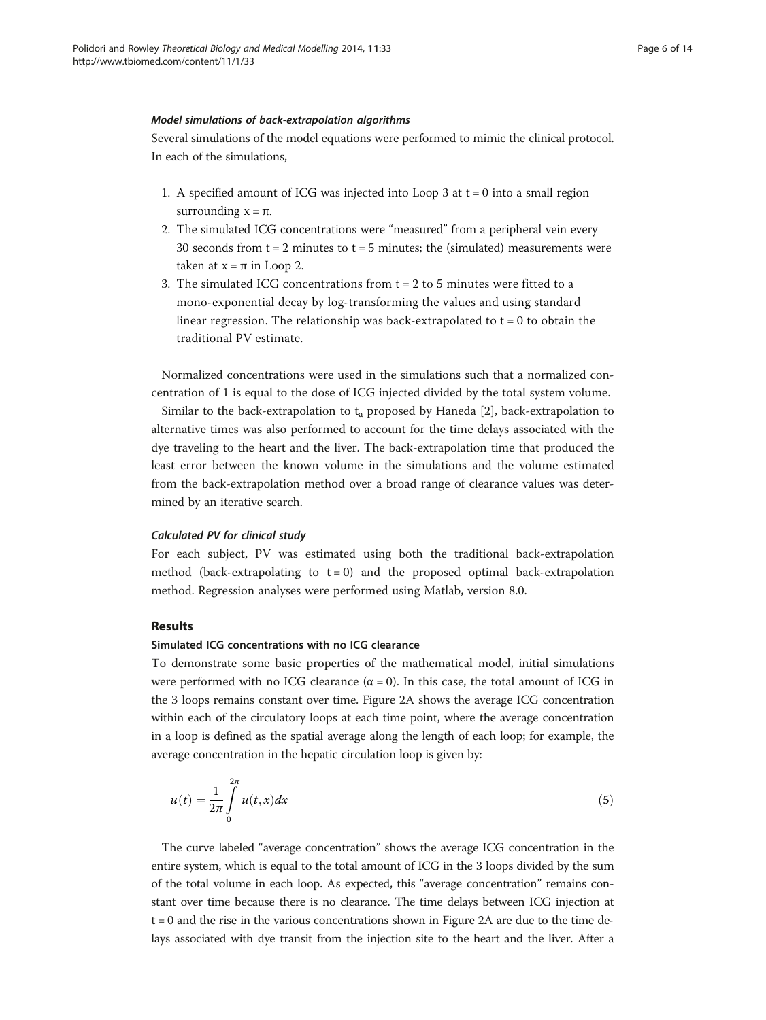#### <span id="page-5-0"></span>Model simulations of back-extrapolation algorithms

Several simulations of the model equations were performed to mimic the clinical protocol. In each of the simulations,

- 1. A specified amount of ICG was injected into Loop 3 at  $t = 0$  into a small region surrounding  $x = π$ .
- 2. The simulated ICG concentrations were "measured" from a peripheral vein every 30 seconds from  $t = 2$  minutes to  $t = 5$  minutes; the (simulated) measurements were taken at  $x = π$  in Loop 2.
- 3. The simulated ICG concentrations from t = 2 to 5 minutes were fitted to a mono-exponential decay by log-transforming the values and using standard linear regression. The relationship was back-extrapolated to  $t = 0$  to obtain the traditional PV estimate.

Normalized concentrations were used in the simulations such that a normalized concentration of 1 is equal to the dose of ICG injected divided by the total system volume.

Similar to the back-extrapolation to  $t_a$  proposed by Haneda [[2\]](#page-13-0), back-extrapolation to alternative times was also performed to account for the time delays associated with the dye traveling to the heart and the liver. The back-extrapolation time that produced the least error between the known volume in the simulations and the volume estimated from the back-extrapolation method over a broad range of clearance values was determined by an iterative search.

#### Calculated PV for clinical study

For each subject, PV was estimated using both the traditional back-extrapolation method (back-extrapolating to  $t = 0$ ) and the proposed optimal back-extrapolation method. Regression analyses were performed using Matlab, version 8.0.

#### Results

#### Simulated ICG concentrations with no ICG clearance

To demonstrate some basic properties of the mathematical model, initial simulations were performed with no ICG clearance  $(\alpha = 0)$ . In this case, the total amount of ICG in the 3 loops remains constant over time. Figure [2](#page-6-0)A shows the average ICG concentration within each of the circulatory loops at each time point, where the average concentration in a loop is defined as the spatial average along the length of each loop; for example, the average concentration in the hepatic circulation loop is given by:

$$
\bar{u}(t) = \frac{1}{2\pi} \int\limits_{0}^{2\pi} u(t, x) dx \tag{5}
$$

The curve labeled "average concentration" shows the average ICG concentration in the entire system, which is equal to the total amount of ICG in the 3 loops divided by the sum of the total volume in each loop. As expected, this "average concentration" remains constant over time because there is no clearance. The time delays between ICG injection at  $t = 0$  and the rise in the various concentrations shown in Figure [2A](#page-6-0) are due to the time delays associated with dye transit from the injection site to the heart and the liver. After a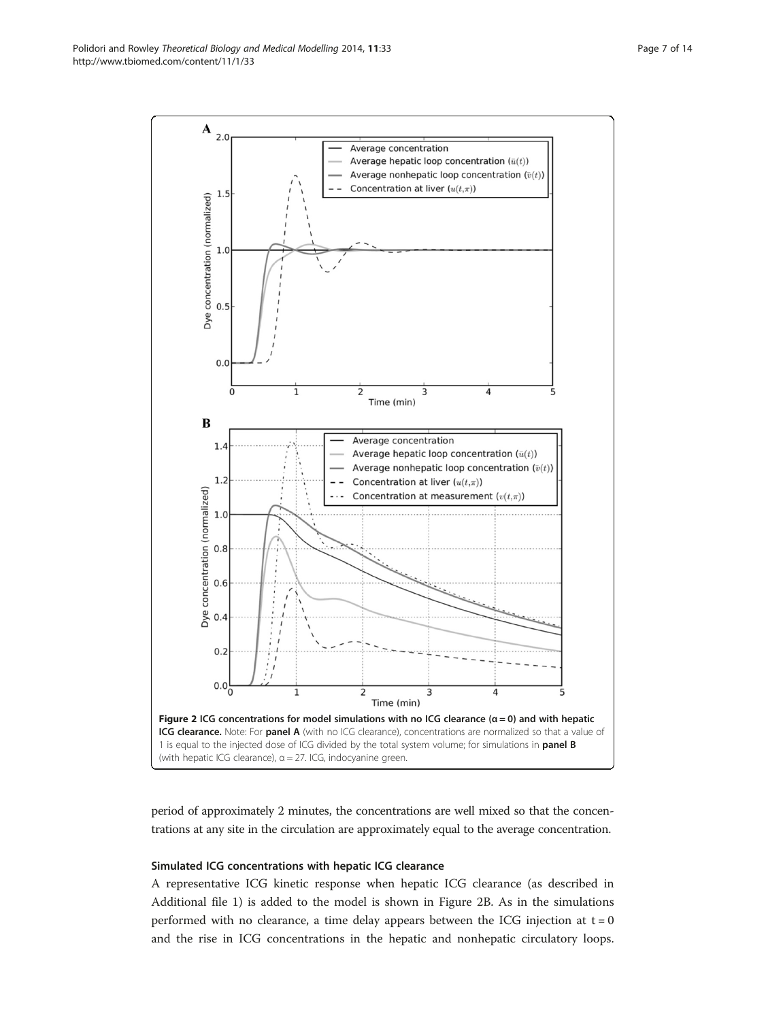period of approximately 2 minutes, the concentrations are well mixed so that the concentrations at any site in the circulation are approximately equal to the average concentration.

#### Simulated ICG concentrations with hepatic ICG clearance

A representative ICG kinetic response when hepatic ICG clearance (as described in Additional file [1\)](#page-12-0) is added to the model is shown in Figure 2B. As in the simulations performed with no clearance, a time delay appears between the ICG injection at  $t = 0$ and the rise in ICG concentrations in the hepatic and nonhepatic circulatory loops.

<span id="page-6-0"></span>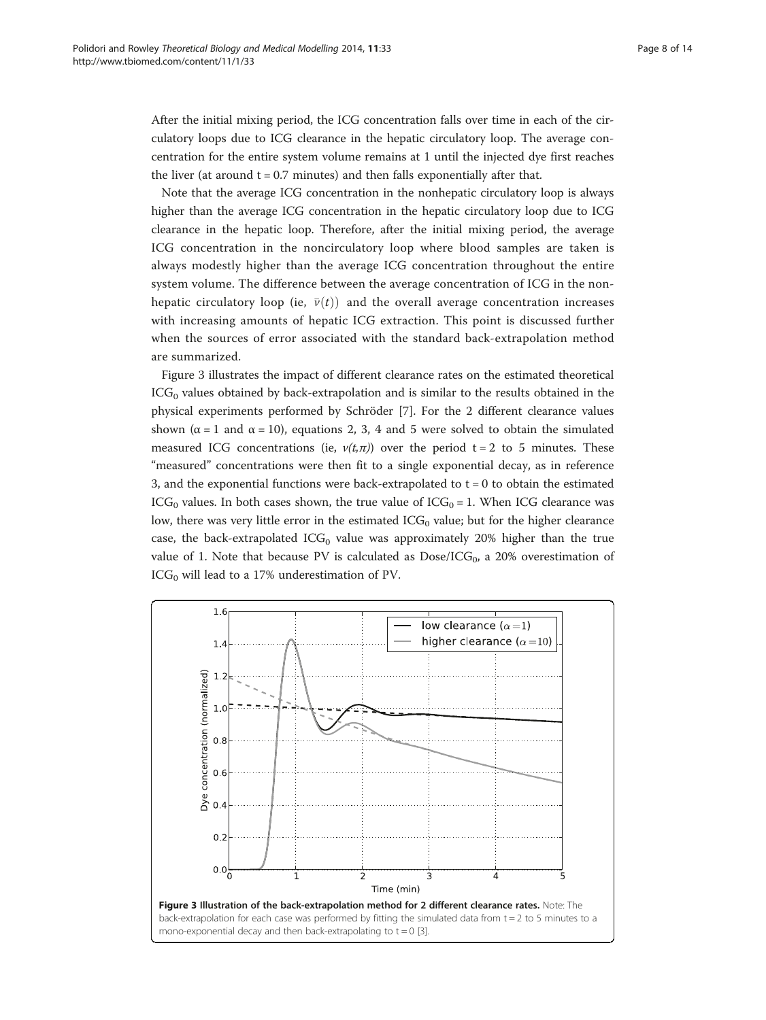<span id="page-7-0"></span>After the initial mixing period, the ICG concentration falls over time in each of the circulatory loops due to ICG clearance in the hepatic circulatory loop. The average concentration for the entire system volume remains at 1 until the injected dye first reaches the liver (at around  $t = 0.7$  minutes) and then falls exponentially after that.

Note that the average ICG concentration in the nonhepatic circulatory loop is always higher than the average ICG concentration in the hepatic circulatory loop due to ICG clearance in the hepatic loop. Therefore, after the initial mixing period, the average ICG concentration in the noncirculatory loop where blood samples are taken is always modestly higher than the average ICG concentration throughout the entire system volume. The difference between the average concentration of ICG in the nonhepatic circulatory loop (ie,  $\bar{v}(t)$ ) and the overall average concentration increases with increasing amounts of hepatic ICG extraction. This point is discussed further when the sources of error associated with the standard back-extrapolation method are summarized.

Figure 3 illustrates the impact of different clearance rates on the estimated theoretical  $ICG<sub>0</sub>$  values obtained by back-extrapolation and is similar to the results obtained in the physical experiments performed by Schröder [\[7](#page-13-0)]. For the 2 different clearance values shown ( $\alpha = 1$  and  $\alpha = 10$ ), equations [2](#page-3-0), [3, 4](#page-3-0) and [5](#page-5-0) were solved to obtain the simulated measured ICG concentrations (ie,  $v(t,\pi)$ ) over the period t = 2 to 5 minutes. These "measured" concentrations were then fit to a single exponential decay, as in reference 3, and the exponential functions were back-extrapolated to  $t = 0$  to obtain the estimated ICG<sub>0</sub> values. In both cases shown, the true value of  $ICG<sub>0</sub> = 1$ . When ICG clearance was low, there was very little error in the estimated  $ICG_0$  value; but for the higher clearance case, the back-extrapolated IC $G_0$  value was approximately 20% higher than the true value of 1. Note that because PV is calculated as  $Dose/ICG<sub>0</sub>$ , a 20% overestimation of  $ICG<sub>0</sub>$  will lead to a 17% underestimation of PV.

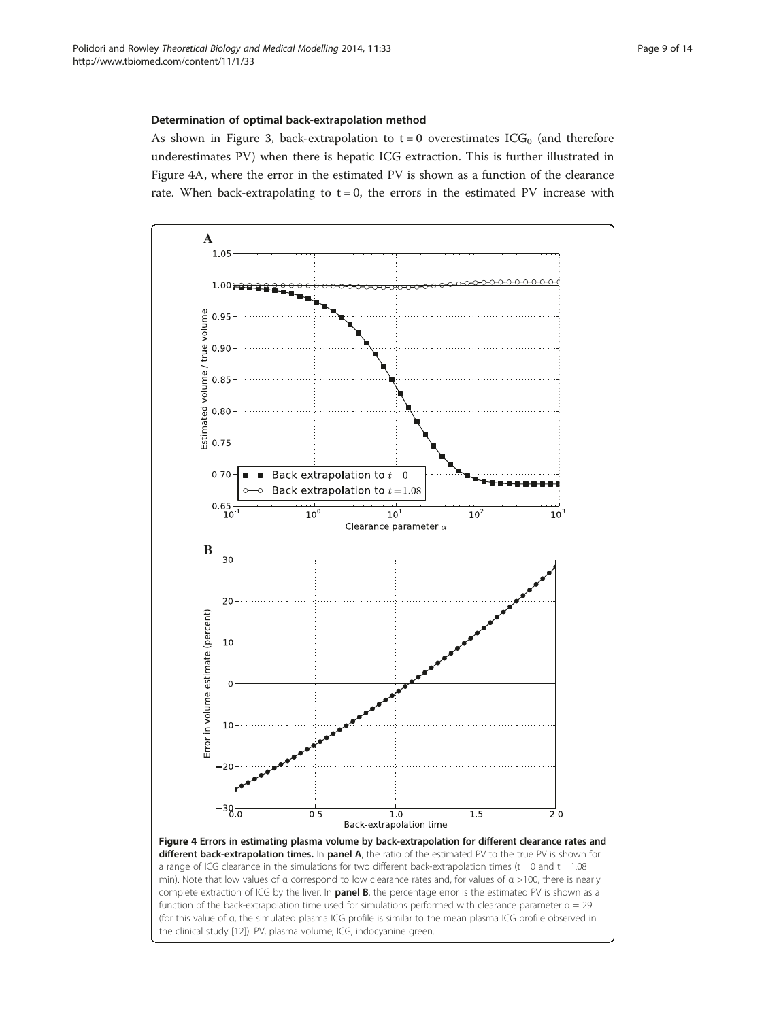### <span id="page-8-0"></span>Determination of optimal back-extrapolation method

As shown in Figure [3](#page-7-0), back-extrapolation to  $t = 0$  overestimates ICG<sub>0</sub> (and therefore underestimates PV) when there is hepatic ICG extraction. This is further illustrated in Figure 4A, where the error in the estimated PV is shown as a function of the clearance rate. When back-extrapolating to  $t = 0$ , the errors in the estimated PV increase with

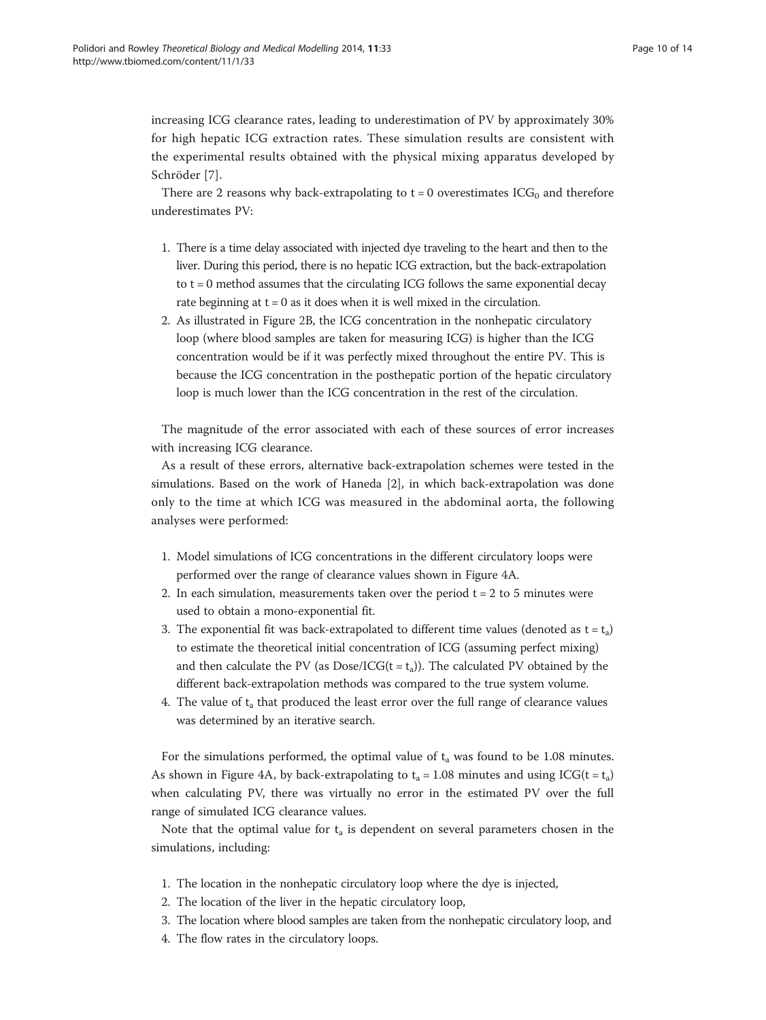increasing ICG clearance rates, leading to underestimation of PV by approximately 30% for high hepatic ICG extraction rates. These simulation results are consistent with the experimental results obtained with the physical mixing apparatus developed by Schröder [[7](#page-13-0)].

There are 2 reasons why back-extrapolating to  $t = 0$  overestimates  $ICG_0$  and therefore underestimates PV:

- 1. There is a time delay associated with injected dye traveling to the heart and then to the liver. During this period, there is no hepatic ICG extraction, but the back-extrapolation to  $t = 0$  method assumes that the circulating ICG follows the same exponential decay rate beginning at  $t = 0$  as it does when it is well mixed in the circulation.
- 2. As illustrated in Figure [2](#page-6-0)B, the ICG concentration in the nonhepatic circulatory loop (where blood samples are taken for measuring ICG) is higher than the ICG concentration would be if it was perfectly mixed throughout the entire PV. This is because the ICG concentration in the posthepatic portion of the hepatic circulatory loop is much lower than the ICG concentration in the rest of the circulation.

The magnitude of the error associated with each of these sources of error increases with increasing ICG clearance.

As a result of these errors, alternative back-extrapolation schemes were tested in the simulations. Based on the work of Haneda [\[2\]](#page-13-0), in which back-extrapolation was done only to the time at which ICG was measured in the abdominal aorta, the following analyses were performed:

- 1. Model simulations of ICG concentrations in the different circulatory loops were performed over the range of clearance values shown in Figure [4](#page-8-0)A.
- 2. In each simulation, measurements taken over the period  $t = 2$  to 5 minutes were used to obtain a mono-exponential fit.
- 3. The exponential fit was back-extrapolated to different time values (denoted as  $t = t_a$ ) to estimate the theoretical initial concentration of ICG (assuming perfect mixing) and then calculate the PV (as  $Dose/ICG(t = t_a)$ ). The calculated PV obtained by the different back-extrapolation methods was compared to the true system volume.
- 4. The value of  $t_a$  that produced the least error over the full range of clearance values was determined by an iterative search.

For the simulations performed, the optimal value of  $t_a$  was found to be 1.08 minutes. As shown in Figure [4A](#page-8-0), by back-extrapolating to  $t_a = 1.08$  minutes and using ICG(t =  $t_a$ ) when calculating PV, there was virtually no error in the estimated PV over the full range of simulated ICG clearance values.

Note that the optimal value for  $t_a$  is dependent on several parameters chosen in the simulations, including:

- 1. The location in the nonhepatic circulatory loop where the dye is injected,
- 2. The location of the liver in the hepatic circulatory loop,
- 3. The location where blood samples are taken from the nonhepatic circulatory loop, and
- 4. The flow rates in the circulatory loops.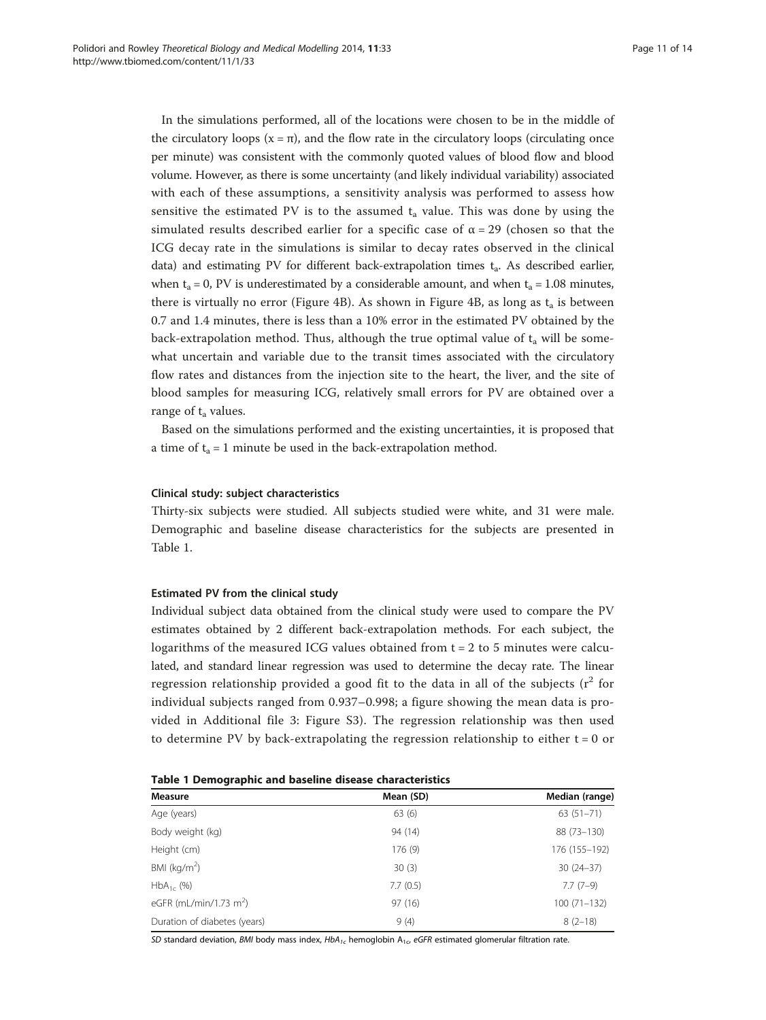In the simulations performed, all of the locations were chosen to be in the middle of the circulatory loops  $(x = \pi)$ , and the flow rate in the circulatory loops (circulating once per minute) was consistent with the commonly quoted values of blood flow and blood volume. However, as there is some uncertainty (and likely individual variability) associated with each of these assumptions, a sensitivity analysis was performed to assess how sensitive the estimated PV is to the assumed  $t_a$  value. This was done by using the simulated results described earlier for a specific case of  $\alpha = 29$  (chosen so that the ICG decay rate in the simulations is similar to decay rates observed in the clinical data) and estimating PV for different back-extrapolation times  $t_a$ . As described earlier, when t<sub>a</sub> = 0, PV is underestimated by a considerable amount, and when t<sub>a</sub> = 1.08 minutes, there is virtually no error (Figure [4](#page-8-0)B). As shown in Figure 4B, as long as  $t_a$  is between 0.7 and 1.4 minutes, there is less than a 10% error in the estimated PV obtained by the back-extrapolation method. Thus, although the true optimal value of  $t_a$  will be somewhat uncertain and variable due to the transit times associated with the circulatory flow rates and distances from the injection site to the heart, the liver, and the site of blood samples for measuring ICG, relatively small errors for PV are obtained over a range of  $t_a$  values.

Based on the simulations performed and the existing uncertainties, it is proposed that a time of  $t_a = 1$  minute be used in the back-extrapolation method.

#### Clinical study: subject characteristics

Thirty-six subjects were studied. All subjects studied were white, and 31 were male. Demographic and baseline disease characteristics for the subjects are presented in Table 1.

#### Estimated PV from the clinical study

Individual subject data obtained from the clinical study were used to compare the PV estimates obtained by 2 different back-extrapolation methods. For each subject, the logarithms of the measured ICG values obtained from  $t = 2$  to 5 minutes were calculated, and standard linear regression was used to determine the decay rate. The linear regression relationship provided a good fit to the data in all of the subjects  $(r^2$  for individual subjects ranged from 0.937–0.998; a figure showing the mean data is provided in Additional file [3:](#page-12-0) Figure S3). The regression relationship was then used to determine PV by back-extrapolating the regression relationship to either  $t = 0$  or

| <b>Measure</b>                     | Mean (SD) | Median (range)<br>$63(51 - 71)$ |  |
|------------------------------------|-----------|---------------------------------|--|
| Age (years)                        | 63(6)     |                                 |  |
| Body weight (kg)                   | 94 (14)   | 88 (73-130)                     |  |
| Height (cm)                        | 176(9)    | 176 (155-192)                   |  |
| BMI ( $kg/m2$ )                    | 30(3)     | $30(24-37)$                     |  |
| $HbA_{1c}$ (%)                     | 7.7(0.5)  | $7.7(7-9)$                      |  |
| eGFR (mL/min/1.73 m <sup>2</sup> ) | 97(16)    | $100(71 - 132)$                 |  |
| Duration of diabetes (years)       | 9(4)      | $8(2-18)$                       |  |

SD standard deviation, BMI body mass index,  $HbA_{1c}$  hemoglobin  $A_{1c}$ , eGFR estimated glomerular filtration rate.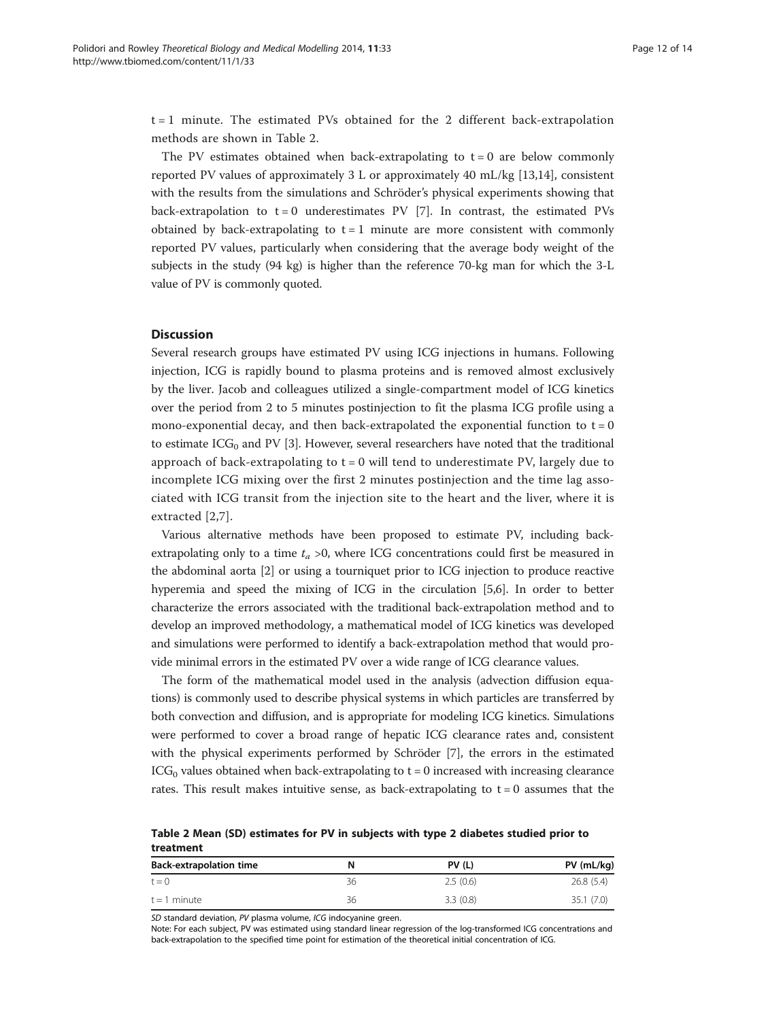$t = 1$  minute. The estimated PVs obtained for the 2 different back-extrapolation methods are shown in Table 2.

The PV estimates obtained when back-extrapolating to  $t = 0$  are below commonly reported PV values of approximately 3 L or approximately 40 mL/kg [\[13,14](#page-13-0)], consistent with the results from the simulations and Schröder's physical experiments showing that back-extrapolation to  $t = 0$  underestimates PV [\[7](#page-13-0)]. In contrast, the estimated PVs obtained by back-extrapolating to  $t = 1$  minute are more consistent with commonly reported PV values, particularly when considering that the average body weight of the subjects in the study (94 kg) is higher than the reference 70-kg man for which the 3-L value of PV is commonly quoted.

## **Discussion**

Several research groups have estimated PV using ICG injections in humans. Following injection, ICG is rapidly bound to plasma proteins and is removed almost exclusively by the liver. Jacob and colleagues utilized a single-compartment model of ICG kinetics over the period from 2 to 5 minutes postinjection to fit the plasma ICG profile using a mono-exponential decay, and then back-extrapolated the exponential function to  $t = 0$ to estimate ICG<sub>0</sub> and PV [\[3](#page-13-0)]. However, several researchers have noted that the traditional approach of back-extrapolating to  $t = 0$  will tend to underestimate PV, largely due to incomplete ICG mixing over the first 2 minutes postinjection and the time lag associated with ICG transit from the injection site to the heart and the liver, where it is extracted [[2,7\]](#page-13-0).

Various alternative methods have been proposed to estimate PV, including backextrapolating only to a time  $t_a > 0$ , where ICG concentrations could first be measured in the abdominal aorta [[2](#page-13-0)] or using a tourniquet prior to ICG injection to produce reactive hyperemia and speed the mixing of ICG in the circulation [[5,6](#page-13-0)]. In order to better characterize the errors associated with the traditional back-extrapolation method and to develop an improved methodology, a mathematical model of ICG kinetics was developed and simulations were performed to identify a back-extrapolation method that would provide minimal errors in the estimated PV over a wide range of ICG clearance values.

The form of the mathematical model used in the analysis (advection diffusion equations) is commonly used to describe physical systems in which particles are transferred by both convection and diffusion, and is appropriate for modeling ICG kinetics. Simulations were performed to cover a broad range of hepatic ICG clearance rates and, consistent with the physical experiments performed by Schröder [\[7](#page-13-0)], the errors in the estimated  $ICG<sub>0</sub>$  values obtained when back-extrapolating to  $t = 0$  increased with increasing clearance rates. This result makes intuitive sense, as back-extrapolating to  $t = 0$  assumes that the

Table 2 Mean (SD) estimates for PV in subjects with type 2 diabetes studied prior to treatment

| <b>Back-extrapolation time</b> | N  | PV(L)    | $PV$ (mL/kg) |
|--------------------------------|----|----------|--------------|
| $t = 0$                        | 36 | 2.5(0.6) | 26.8(5.4)    |
| $t = 1$ minute                 | 36 | 3.3(0.8) | 35.1(7.0)    |

SD standard deviation, PV plasma volume, ICG indocyanine green.

Note: For each subject, PV was estimated using standard linear regression of the log-transformed ICG concentrations and back-extrapolation to the specified time point for estimation of the theoretical initial concentration of ICG.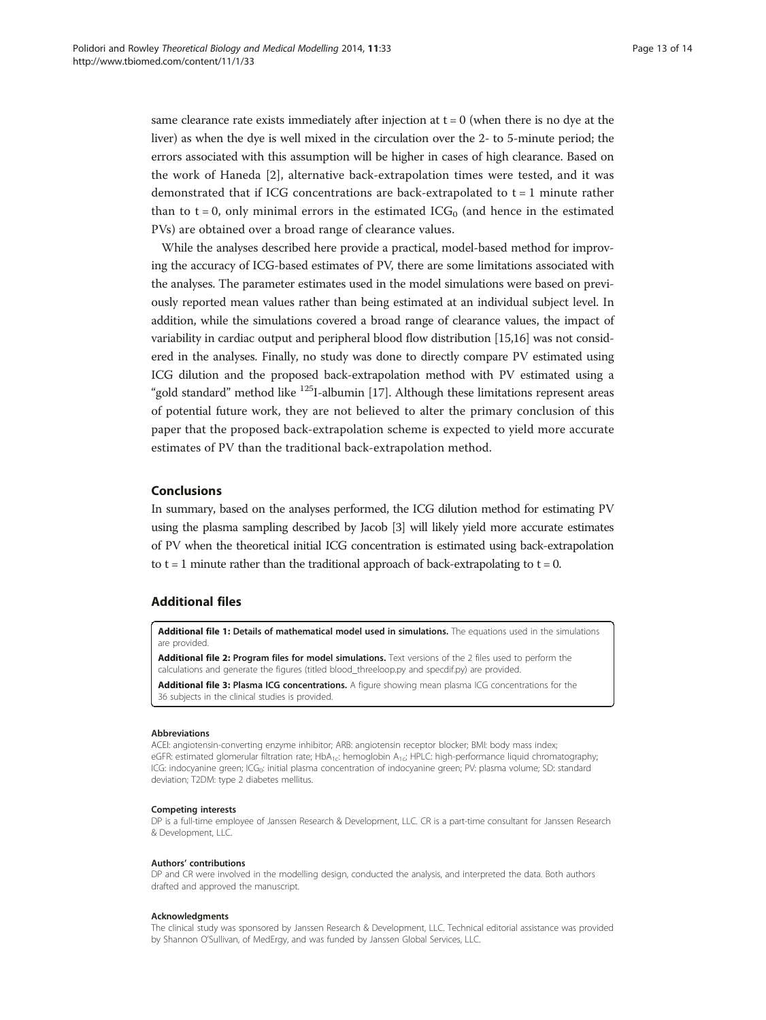<span id="page-12-0"></span>same clearance rate exists immediately after injection at  $t = 0$  (when there is no dye at the liver) as when the dye is well mixed in the circulation over the 2- to 5-minute period; the errors associated with this assumption will be higher in cases of high clearance. Based on the work of Haneda [[2](#page-13-0)], alternative back-extrapolation times were tested, and it was demonstrated that if ICG concentrations are back-extrapolated to  $t = 1$  minute rather than to t = 0, only minimal errors in the estimated  $ICG<sub>0</sub>$  (and hence in the estimated PVs) are obtained over a broad range of clearance values.

While the analyses described here provide a practical, model-based method for improving the accuracy of ICG-based estimates of PV, there are some limitations associated with the analyses. The parameter estimates used in the model simulations were based on previously reported mean values rather than being estimated at an individual subject level. In addition, while the simulations covered a broad range of clearance values, the impact of variability in cardiac output and peripheral blood flow distribution [[15,16\]](#page-13-0) was not considered in the analyses. Finally, no study was done to directly compare PV estimated using ICG dilution and the proposed back-extrapolation method with PV estimated using a "gold standard" method like  $^{125}$ I-albumin [[17](#page-13-0)]. Although these limitations represent areas of potential future work, they are not believed to alter the primary conclusion of this paper that the proposed back-extrapolation scheme is expected to yield more accurate estimates of PV than the traditional back-extrapolation method.

## Conclusions

In summary, based on the analyses performed, the ICG dilution method for estimating PV using the plasma sampling described by Jacob [[3](#page-13-0)] will likely yield more accurate estimates of PV when the theoretical initial ICG concentration is estimated using back-extrapolation to  $t = 1$  minute rather than the traditional approach of back-extrapolating to  $t = 0$ .

#### Additional files

[Additional file 1:](http://www.biomedcentral.com/content/supplementary/1742-4682-11-33-S1.docx) Details of mathematical model used in simulations. The equations used in the simulations are provided.

[Additional file 2:](http://www.biomedcentral.com/content/supplementary/1742-4682-11-33-S2.docx) Program files for model simulations. Text versions of the 2 files used to perform the calculations and generate the figures (titled blood\_threeloop.py and specdif.py) are provided.

[Additional file 3:](http://www.biomedcentral.com/content/supplementary/1742-4682-11-33-S3.docx) Plasma ICG concentrations. A figure showing mean plasma ICG concentrations for the 36 subjects in the clinical studies is provided.

#### Abbreviations

ACEI: angiotensin-converting enzyme inhibitor; ARB: angiotensin receptor blocker; BMI: body mass index; eGFR: estimated glomerular filtration rate; HbA<sub>1c</sub>: hemoglobin A<sub>1c</sub>; HPLC: high-performance liquid chromatography; ICG: indocyanine green; ICG<sub>0</sub>: initial plasma concentration of indocyanine green; PV: plasma volume; SD: standard deviation; T2DM: type 2 diabetes mellitus.

#### Competing interests

DP is a full-time employee of Janssen Research & Development, LLC. CR is a part-time consultant for Janssen Research & Development, LLC.

#### Authors' contributions

DP and CR were involved in the modelling design, conducted the analysis, and interpreted the data. Both authors drafted and approved the manuscript.

#### Acknowledgments

The clinical study was sponsored by Janssen Research & Development, LLC. Technical editorial assistance was provided by Shannon O'Sullivan, of MedErgy, and was funded by Janssen Global Services, LLC.